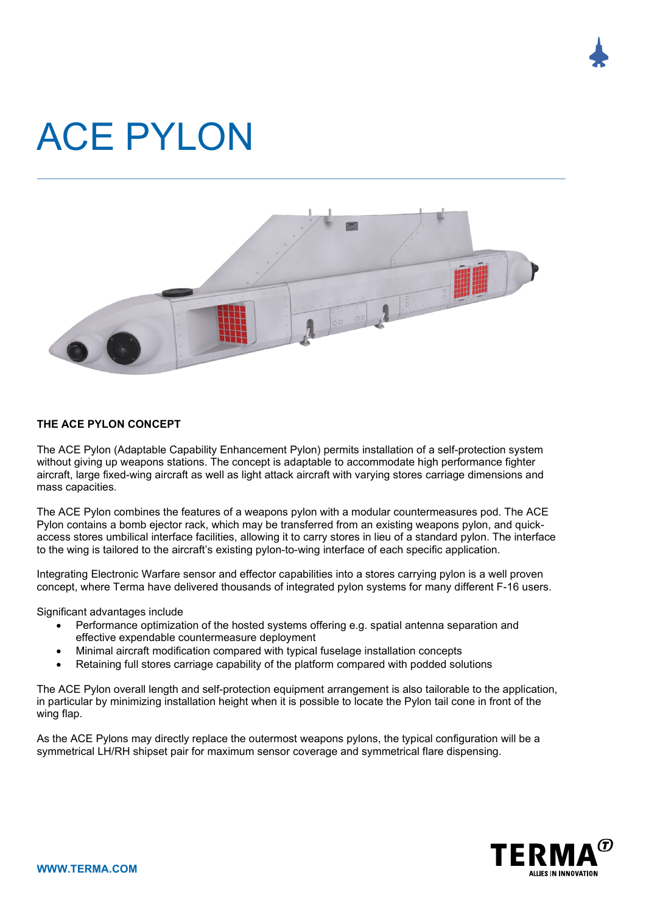

## ACE PYLON



## **THE ACE PYLON CONCEPT**

The ACE Pylon (Adaptable Capability Enhancement Pylon) permits installation of a self-protection system without giving up weapons stations. The concept is adaptable to accommodate high performance fighter aircraft, large fixed-wing aircraft as well as light attack aircraft with varying stores carriage dimensions and mass capacities.

The ACE Pylon combines the features of a weapons pylon with a modular countermeasures pod. The ACE Pylon contains a bomb ejector rack, which may be transferred from an existing weapons pylon, and quickaccess stores umbilical interface facilities, allowing it to carry stores in lieu of a standard pylon. The interface to the wing is tailored to the aircraft's existing pylon-to-wing interface of each specific application.

Integrating Electronic Warfare sensor and effector capabilities into a stores carrying pylon is a well proven concept, where Terma have delivered thousands of integrated pylon systems for many different F-16 users.

Significant advantages include

- Performance optimization of the hosted systems offering e.g. spatial antenna separation and effective expendable countermeasure deployment
- Minimal aircraft modification compared with typical fuselage installation concepts
- Retaining full stores carriage capability of the platform compared with podded solutions

The ACE Pylon overall length and self-protection equipment arrangement is also tailorable to the application, in particular by minimizing installation height when it is possible to locate the Pylon tail cone in front of the wing flap.

As the ACE Pylons may directly replace the outermost weapons pylons, the typical configuration will be a symmetrical LH/RH shipset pair for maximum sensor coverage and symmetrical flare dispensing.